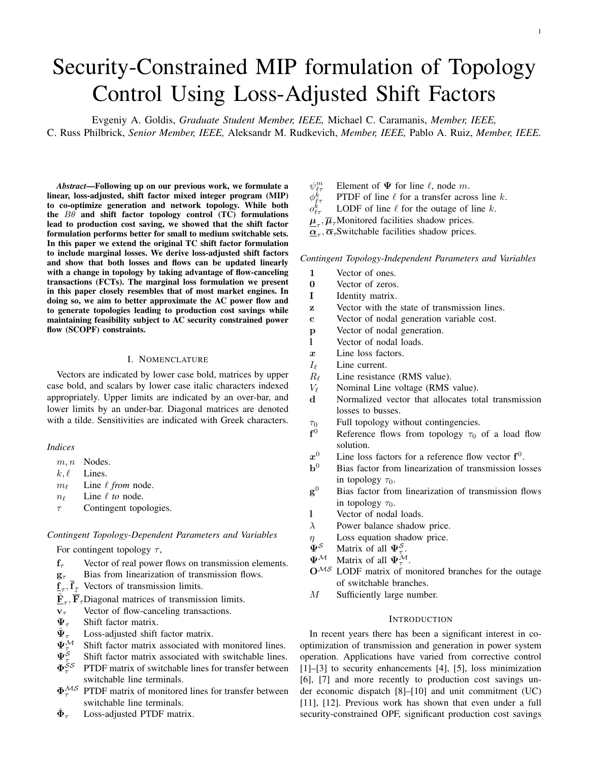# Security-Constrained MIP formulation of Topology Control Using Loss-Adjusted Shift Factors

Evgeniy A. Goldis, *Graduate Student Member, IEEE,* Michael C. Caramanis, *Member, IEEE,* C. Russ Philbrick, *Senior Member, IEEE,* Aleksandr M. Rudkevich, *Member, IEEE,* Pablo A. Ruiz, *Member, IEEE.*

*Abstract*—Following up on our previous work, we formulate a linear, loss-adjusted, shift factor mixed integer program (MIP) to co-optimize generation and network topology. While both the  $B\theta$  and shift factor topology control (TC) formulations lead to production cost saving, we showed that the shift factor formulation performs better for small to medium switchable sets. In this paper we extend the original TC shift factor formulation to include marginal losses. We derive loss-adjusted shift factors and show that both losses and flows can be updated linearly with a change in topology by taking advantage of flow-canceling transactions (FCTs). The marginal loss formulation we present in this paper closely resembles that of most market engines. In doing so, we aim to better approximate the AC power flow and to generate topologies leading to production cost savings while maintaining feasibility subject to AC security constrained power flow (SCOPF) constraints.

## I. NOMENCLATURE

Vectors are indicated by lower case bold, matrices by upper case bold, and scalars by lower case italic characters indexed appropriately. Upper limits are indicated by an over-bar, and lower limits by an under-bar. Diagonal matrices are denoted with a tilde. Sensitivities are indicated with Greek characters.

#### *Indices*

- m, n Nodes.
- $k, l$  Lines.
- $m_\ell$  Line  $\ell$  *from* node.
- $n_{\ell}$  Line  $\ell$  *to* node.
- $\tau$  Contingent topologies.

# *Contingent Topology-Dependent Parameters and Variables*

For contingent topology  $\tau$ ,

- $f_{\tau}$  Vector of real power flows on transmission elements.
- $g_{\tau}$  Bias from linearization of transmission flows.
- $\underline{\mathbf{f}}_{\tau}$ ,  $\mathbf{f}_{\mathcal{I}}$  Vectors of transmission limits.
- $\tilde{\mathbf{F}}_{\tau}$ ,  $\tilde{\overline{\mathbf{F}}}_{\tau}$ Diagonal matrices of transmission limits.
- $v_{\tau}$  Vector of flow-canceling transactions.
- $\Psi_{\tau}$  Shift factor matrix.
- $\frac{\hat{\Psi}_\tau}{\Psi^\mathcal{M}}$ Loss-adjusted shift factor matrix.
- Shift factor matrix associated with monitored lines.
- $\Psi^{\dot{S}}$ Shift factor matrix associated with switchable lines.
- $\Phi_{z}^{\dot{S}\mathcal{S}}$ PTDF matrix of switchable lines for transfer between switchable line terminals.
- $\Phi^{\mathcal{M}\mathcal{S}}$ PTDF matrix of monitored lines for transfer between switchable line terminals.
- $\hat{\mathbf{\Phi}}_{\tau}$ Loss-adjusted PTDF matrix.
- $\psi_{\ell\tau}^m$ Element of  $\Psi$  for line  $\ell$ , node m.
- $\phi^{\v{k}}_\ell$ PTDF of line  $\ell$  for a transfer across line k.
- $o^k_\ell$ LODF of line  $\ell$  for the outage of line k.
- $\underline{\mu}_{\tau}$ ,  $\overline{\mu}_{\tau}$ Monitored facilities shadow prices.
- $\underline{\alpha}_{\tau}$ ,  $\overline{\alpha}_{\tau}$ Switchable facilities shadow prices.

#### *Contingent Topology-Independent Parameters and Variables*

- 1 Vector of ones.
- 0 Vector of zeros.
- I Identity matrix.
- z Vector with the state of transmission lines.
- c Vector of nodal generation variable cost.
- p Vector of nodal generation.
- l Vector of nodal loads.
- x Line loss factors.
- $I_{\ell}$  Line current.
- $R_{\ell}$  Line resistance (RMS value).
- $V_{\ell}$  Nominal Line voltage (RMS value).
- d Normalized vector that allocates total transmission losses to busses.
- $\tau_0$  Full topology without contingencies.
- $f<sup>0</sup>$ Reference flows from topology  $\tau_0$  of a load flow solution.
- $x^0$ <sup>0</sup> Line loss factors for a reference flow vector  $f^0$ .
- $\mathbf{b}^0$ Bias factor from linearization of transmission losses in topology  $\tau_0$ .
- $g<sup>0</sup>$ Bias factor from linearization of transmission flows in topology  $\tau_0$ .
- l Vector of nodal loads.
- $\lambda$  Power balance shadow price.
- $\eta$  Loss equation shadow price.<br>  $\Psi^{\mathcal{S}}$  Matrix of all  $\Psi^{\mathcal{S}}$
- $\Psi^{\mathcal{S}}$  Matrix of all  $\Psi^{\mathcal{S}}_{\tau}$ .
- $\Psi^{\mathcal{M}}$  Matrix of all  $\Psi^{\mathcal{M}}_{\tau}$ .
- $O<sup>MS</sup>$  LODF matrix of monitored branches for the outage of switchable branches.
- M Sufficiently large number.

#### **INTRODUCTION**

In recent years there has been a significant interest in cooptimization of transmission and generation in power system operation. Applications have varied from corrective control [1]–[3] to security enhancements [4], [5], loss minimization [6], [7] and more recently to production cost savings under economic dispatch [8]–[10] and unit commitment (UC) [11], [12]. Previous work has shown that even under a full security-constrained OPF, significant production cost savings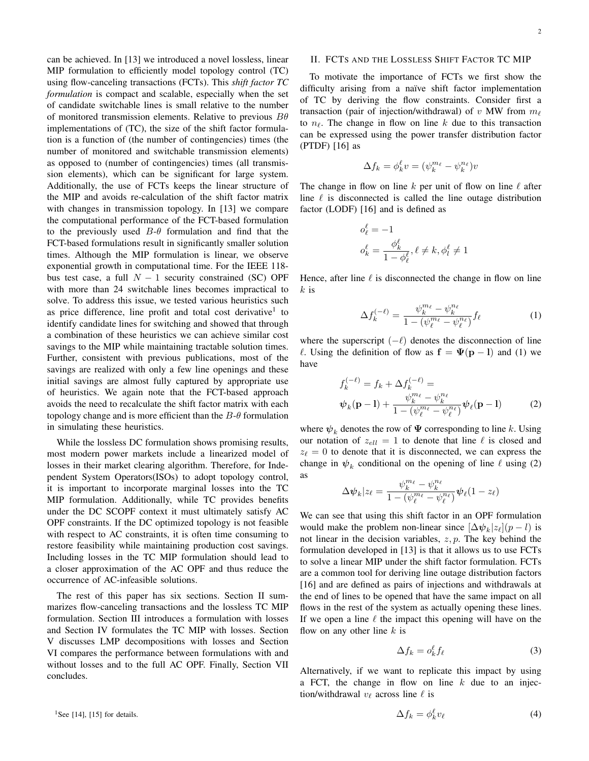can be achieved. In [13] we introduced a novel lossless, linear MIP formulation to efficiently model topology control (TC) using flow-canceling transactions (FCTs). This *shift factor TC formulation* is compact and scalable, especially when the set of candidate switchable lines is small relative to the number of monitored transmission elements. Relative to previous  $B\theta$ implementations of (TC), the size of the shift factor formulation is a function of (the number of contingencies) times (the number of monitored and switchable transmission elements) as opposed to (number of contingencies) times (all transmission elements), which can be significant for large system. Additionally, the use of FCTs keeps the linear structure of the MIP and avoids re-calculation of the shift factor matrix with changes in transmission topology. In [13] we compare the computational performance of the FCT-based formulation to the previously used  $B-\theta$  formulation and find that the FCT-based formulations result in significantly smaller solution times. Although the MIP formulation is linear, we observe exponential growth in computational time. For the IEEE 118 bus test case, a full  $N - 1$  security constrained (SC) OPF with more than 24 switchable lines becomes impractical to solve. To address this issue, we tested various heuristics such as price difference, line profit and total cost derivative<sup>1</sup> to identify candidate lines for switching and showed that through a combination of these heuristics we can achieve similar cost savings to the MIP while maintaining tractable solution times. Further, consistent with previous publications, most of the savings are realized with only a few line openings and these initial savings are almost fully captured by appropriate use of heuristics. We again note that the FCT-based approach avoids the need to recalculate the shift factor matrix with each topology change and is more efficient than the  $B-\theta$  formulation in simulating these heuristics.

While the lossless DC formulation shows promising results, most modern power markets include a linearized model of losses in their market clearing algorithm. Therefore, for Independent System Operators(ISOs) to adopt topology control, it is important to incorporate marginal losses into the TC MIP formulation. Additionally, while TC provides benefits under the DC SCOPF context it must ultimately satisfy AC OPF constraints. If the DC optimized topology is not feasible with respect to AC constraints, it is often time consuming to restore feasibility while maintaining production cost savings. Including losses in the TC MIP formulation should lead to a closer approximation of the AC OPF and thus reduce the occurrence of AC-infeasible solutions.

The rest of this paper has six sections. Section II summarizes flow-canceling transactions and the lossless TC MIP formulation. Section III introduces a formulation with losses and Section IV formulates the TC MIP with losses. Section V discusses LMP decompositions with losses and Section VI compares the performance between formulations with and without losses and to the full AC OPF. Finally, Section VII concludes.

# II. FCTS AND THE LOSSLESS SHIFT FACTOR TC MIP

To motivate the importance of FCTs we first show the difficulty arising from a naïve shift factor implementation of TC by deriving the flow constraints. Consider first a transaction (pair of injection/withdrawal) of v MW from  $m_\ell$ to  $n_f$ . The change in flow on line k due to this transaction can be expressed using the power transfer distribution factor (PTDF) [16] as

$$
\Delta f_k = \phi_k^\ell v = (\psi_k^{m_\ell} - \psi_k^{n_\ell})v
$$

The change in flow on line k per unit of flow on line  $\ell$  after line  $\ell$  is disconnected is called the line outage distribution factor (LODF) [16] and is defined as

$$
\begin{aligned} o_\ell^\ell &= -1\\ o_k^\ell &= \frac{\phi_k^\ell}{1-\phi_\ell^\ell}, \ell \neq k, \phi_l^\ell \neq 1 \end{aligned}
$$

Hence, after line  $\ell$  is disconnected the change in flow on line  $k$  is

$$
\Delta f_k^{(-\ell)} = \frac{\psi_k^{m_\ell} - \psi_k^{n_\ell}}{1 - (\psi_\ell^{m_\ell} - \psi_\ell^{n_\ell})} f_\ell \tag{1}
$$

where the superscript  $(-\ell)$  denotes the disconnection of line  $\ell$ . Using the definition of flow as  $f = \Psi(p - l)$  and (1) we have

$$
f_k^{(-\ell)} = f_k + \Delta f_k^{(-\ell)} =
$$
  

$$
\psi_k(\mathbf{p} - \mathbf{l}) + \frac{\psi_k^{m_\ell} - \psi_k^{n_\ell}}{1 - (\psi_\ell^{m_\ell} - \psi_\ell^{n_\ell})} \psi_\ell(\mathbf{p} - \mathbf{l})
$$
 (2)

where  $\psi_k$  denotes the row of  $\Psi$  corresponding to line k. Using our notation of  $z_{ell} = 1$  to denote that line  $\ell$  is closed and  $z_{\ell} = 0$  to denote that it is disconnected, we can express the change in  $\psi_k$  conditional on the opening of line  $\ell$  using (2) as

$$
\Delta \boldsymbol{\psi}_k | z_\ell = \frac{\psi_k^{m_\ell} - \psi_k^{n_\ell}}{1 - (\psi_\ell^{m_\ell} - \psi_\ell^{n_\ell})} \boldsymbol{\psi}_\ell (1 - z_\ell)
$$

We can see that using this shift factor in an OPF formulation would make the problem non-linear since  $[\Delta \psi_k | z_\ell] (p - l)$  is not linear in the decision variables,  $z, p$ . The key behind the formulation developed in [13] is that it allows us to use FCTs to solve a linear MIP under the shift factor formulation. FCTs are a common tool for deriving line outage distribution factors [16] and are defined as pairs of injections and withdrawals at the end of lines to be opened that have the same impact on all flows in the rest of the system as actually opening these lines. If we open a line  $\ell$  the impact this opening will have on the flow on any other line  $k$  is

$$
\Delta f_k = o_k^{\ell} f_{\ell} \tag{3}
$$

Alternatively, if we want to replicate this impact by using a FCT, the change in flow on line  $k$  due to an injection/withdrawal  $v_{\ell}$  across line  $\ell$  is

$$
\Delta f_k = \phi_k^{\ell} v_{\ell} \tag{4}
$$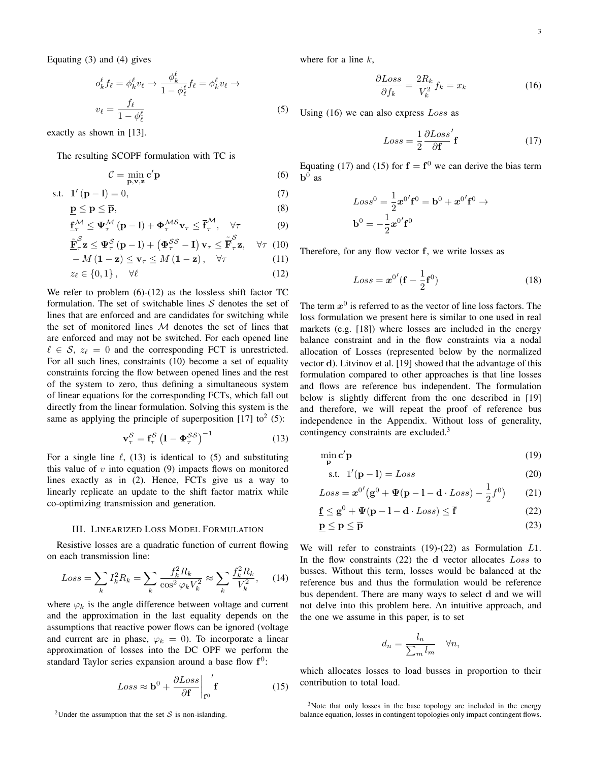Equating (3) and (4) gives

$$
o_k^{\ell} f_{\ell} = \phi_k^{\ell} v_{\ell} \to \frac{\phi_k^{\ell}}{1 - \phi_{\ell}^{\ell}} f_{\ell} = \phi_k^{\ell} v_{\ell} \to
$$
  

$$
v_{\ell} = \frac{f_{\ell}}{1 - \phi_{\ell}^{\ell}}
$$

exactly as shown in [13].

The resulting SCOPF formulation with TC is

$$
\mathcal{C} = \min_{\mathbf{p}, \mathbf{v}, \mathbf{z}} \mathbf{c}' \mathbf{p} \tag{6}
$$

s.t. 
$$
\mathbf{1}'(\mathbf{p} - \mathbf{l}) = 0,
$$
 (7)

$$
\underline{\mathbf{p}} \le \mathbf{p} \le \overline{\mathbf{p}},\tag{8}
$$

$$
\underline{\mathbf{f}}_{\tau}^{\mathcal{M}} \leq \Psi_{\tau}^{\mathcal{M}}\left(\mathbf{p}-\mathbf{l}\right) + \Phi_{\tau}^{\mathcal{M}\mathcal{S}} \mathbf{v}_{\tau} \leq \overline{\mathbf{f}}_{\tau}^{\mathcal{M}}, \quad \forall \tau
$$
\n(9)

$$
\underline{\tilde{\mathbf{F}}}_{\tau}^{\mathcal{S}} \mathbf{z} \leq \mathbf{\Psi}_{\tau}^{\mathcal{S}} \left( \mathbf{p} - \mathbf{l} \right) + \left( \mathbf{\Phi}_{\tau}^{\mathcal{S}\mathcal{S}} - \mathbf{I} \right) \mathbf{v}_{\tau} \leq \underline{\tilde{\mathbf{F}}}_{\tau}^{\mathcal{S}} \mathbf{z}, \quad \forall \tau \tag{10}
$$

$$
-M(\mathbf{1}-\mathbf{z}) \le \mathbf{v}_{\tau} \le M(\mathbf{1}-\mathbf{z}), \quad \forall \tau \tag{11}
$$

$$
z_{\ell} \in \{0, 1\} \,, \quad \forall \ell \tag{12}
$$

We refer to problem  $(6)-(12)$  as the lossless shift factor TC formulation. The set of switchable lines  $S$  denotes the set of lines that are enforced and are candidates for switching while the set of monitored lines  $M$  denotes the set of lines that are enforced and may not be switched. For each opened line  $\ell \in S$ ,  $z_{\ell} = 0$  and the corresponding FCT is unrestricted. For all such lines, constraints (10) become a set of equality constraints forcing the flow between opened lines and the rest of the system to zero, thus defining a simultaneous system of linear equations for the corresponding FCTs, which fall out directly from the linear formulation. Solving this system is the same as applying the principle of superposition [17] to<sup>2</sup> (5):

$$
\mathbf{v}_{\tau}^{S} = \mathbf{f}_{\tau}^{S} \left( \mathbf{I} - \mathbf{\Phi}_{\tau}^{SS} \right)^{-1}
$$
 (13)

For a single line  $\ell$ , (13) is identical to (5) and substituting this value of  $v$  into equation (9) impacts flows on monitored lines exactly as in (2). Hence, FCTs give us a way to linearly replicate an update to the shift factor matrix while co-optimizing transmission and generation.

#### III. LINEARIZED LOSS MODEL FORMULATION

Resistive losses are a quadratic function of current flowing on each transmission line:

$$
Loss = \sum_{k} I_{k}^{2} R_{k} = \sum_{k} \frac{f_{k}^{2} R_{k}}{\cos^{2} \varphi_{k} V_{k}^{2}} \approx \sum_{k} \frac{f_{k}^{2} R_{k}}{V_{k}^{2}},
$$
 (14)

where  $\varphi_k$  is the angle difference between voltage and current and the approximation in the last equality depends on the assumptions that reactive power flows can be ignored (voltage and current are in phase,  $\varphi_k = 0$ ). To incorporate a linear approximation of losses into the DC OPF we perform the standard Taylor series expansion around a base flow  $f^0$ :

$$
Loss \approx \mathbf{b}^0 + \frac{\partial Loss}{\partial \mathbf{f}} \bigg|_{\mathbf{f}^0} \mathbf{f}
$$
 (15)

where for a line  $k$ ,

(5)

$$
\frac{\partial Loss}{\partial f_k} = \frac{2R_k}{V_k^2} f_k = x_k \tag{16}
$$

Using  $(16)$  we can also express  $Loss$  as

$$
Loss = \frac{1}{2} \frac{\partial Loss'}{\partial \mathbf{f}} \mathbf{f}
$$
 (17)

Equating (17) and (15) for  $f = f^0$  we can derive the bias term  $\mathbf{b}^0$  as

$$
Loss^0 = \frac{1}{2}x^{0'}f^0 = \mathbf{b}^0 + x^{0'}f^0 \rightarrow
$$

$$
\mathbf{b}^0 = -\frac{1}{2}x^{0'}f^0
$$

Therefore, for any flow vector f, we write losses as

$$
Loss = \boldsymbol{x}^{0'} (\mathbf{f} - \frac{1}{2} \mathbf{f}^0)
$$
 (18)

The term  $x^0$  is referred to as the vector of line loss factors. The loss formulation we present here is similar to one used in real markets (e.g. [18]) where losses are included in the energy balance constraint and in the flow constraints via a nodal allocation of Losses (represented below by the normalized vector d). Litvinov et al. [19] showed that the advantage of this formulation compared to other approaches is that line losses and flows are reference bus independent. The formulation below is slightly different from the one described in [19] and therefore, we will repeat the proof of reference bus independence in the Appendix. Without loss of generality, contingency constraints are excluded.<sup>3</sup>

$$
\min_{\mathbf{p}} \mathbf{c}' \mathbf{p} \tag{19}
$$

$$
s.t. \t1'(p-1) = Loss \t(20)
$$

$$
Loss = \boldsymbol{x}^{0'} (\mathbf{g}^0 + \boldsymbol{\Psi} (\mathbf{p} - \mathbf{l} - \mathbf{d} \cdot Loss) - \frac{1}{2} f^0)
$$
 (21)

$$
\underline{\mathbf{f}} \le \mathbf{g}^0 + \Psi(\mathbf{p} - \mathbf{l} - \mathbf{d} \cdot Loss) \le \overline{\mathbf{f}} \tag{22}
$$

$$
\underline{\mathbf{p}} \le \mathbf{p} \le \overline{\mathbf{p}} \tag{23}
$$

We will refer to constraints  $(19)-(22)$  as Formulation  $L1$ . In the flow constraints (22) the d vector allocates Loss to busses. Without this term, losses would be balanced at the reference bus and thus the formulation would be reference bus dependent. There are many ways to select d and we will not delve into this problem here. An intuitive approach, and the one we assume in this paper, is to set

$$
d_n = \frac{l_n}{\sum_m l_m} \quad \forall n,
$$

which allocates losses to load busses in proportion to their contribution to total load.

<sup>2</sup>Under the assumption that the set S is non-islanding.

 $3$ Note that only losses in the base topology are included in the energy balance equation, losses in contingent topologies only impact contingent flows.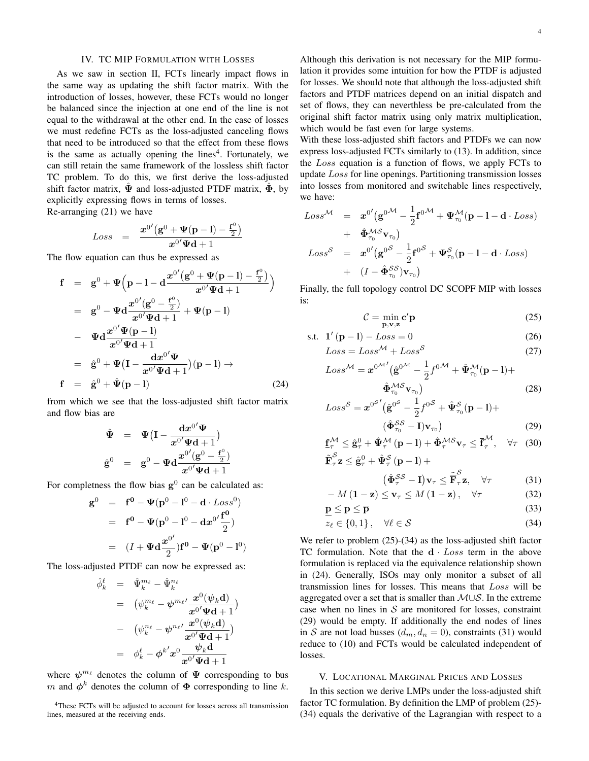#### IV. TC MIP FORMULATION WITH LOSSES

As we saw in section II, FCTs linearly impact flows in the same way as updating the shift factor matrix. With the introduction of losses, however, these FCTs would no longer be balanced since the injection at one end of the line is not equal to the withdrawal at the other end. In the case of losses we must redefine FCTs as the loss-adjusted canceling flows that need to be introduced so that the effect from these flows is the same as actually opening the lines<sup>4</sup>. Fortunately, we can still retain the same framework of the lossless shift factor TC problem. To do this, we first derive the loss-adjusted shift factor matrix,  $\hat{\Psi}$  and loss-adjusted PTDF matrix,  $\hat{\Phi}$ , by explicitly expressing flows in terms of losses.

Re-arranging (21) we have

$$
Loss = \frac{x^{0'}(g^{0} + \Psi(p-1) - \frac{f^{0}}{2})}{x^{0'}\Psi d + 1}
$$

The flow equation can thus be expressed as

$$
f = g^{0} + \Psi(p-1-d\frac{x^{0'}(g^{0} + \Psi(p-1) - \frac{f^{0}}{2})}{x^{0'}\Psi d + 1})
$$
  
\n
$$
= g^{0} - \Psi d \frac{x^{0'}(g^{0} - \frac{f^{0}}{2})}{x^{0'}\Psi d + 1} + \Psi(p-1)
$$
  
\n
$$
- \Psi d \frac{x^{0'}\Psi(p-1)}{x^{0'}\Psi d + 1}
$$
  
\n
$$
= \hat{g}^{0} + \Psi(I - \frac{dx^{0'}\Psi}{x^{0'}\Psi d + 1})(p-1) \rightarrow
$$
  
\n
$$
f = \hat{g}^{0} + \hat{\Psi}(p-1)
$$
 (24)

from which we see that the loss-adjusted shift factor matrix and flow bias are

$$
\begin{array}{rcl}\n\hat{\Psi} & = & \Psi \big( {\bf I} - \frac{{\bf d}x^{0'}}{x^{0'}\Psi {\bf d} + 1} \big) \\
\hat{\bf g}^0 & = & \mathbf{g}^0 - \Psi {\bf d} \frac{x^{0'}(\mathbf{g}^0 - \frac{{\bf f}^0}{2})}{x^{0'}\Psi {\bf d} + 1}\n\end{array}
$$

For completness the flow bias  $g^0$  can be calculated as:

$$
\mathbf{g}^0 = \mathbf{f}^0 - \Psi(\mathbf{p}^0 - \mathbf{l}^0 - \mathbf{d} \cdot Loss^0)
$$
  
= 
$$
\mathbf{f}^0 - \Psi(\mathbf{p}^0 - \mathbf{l}^0 - \mathbf{d}x^{0'}\frac{\mathbf{f}^0}{2})
$$
  
= 
$$
(I + \Psi \mathbf{d}\frac{x^{0'}}{2})\mathbf{f}^0 - \Psi(\mathbf{p}^0 - \mathbf{l}^0)
$$

The loss-adjusted PTDF can now be expressed as:

$$
\hat{\phi}_k^{\ell} = \hat{\Psi}_k^{m_{\ell}} - \hat{\Psi}_k^{n_{\ell}} \n= (\psi_k^{m_{\ell}} - \psi^{m_{\ell'}} \frac{x^0(\psi_k \mathbf{d})}{x^{0'} \mathbf{\Psi} \mathbf{d} + 1}) \n- (\psi_k^{n_{\ell}} - \psi^{n_{\ell'}} \frac{x^0(\psi_k \mathbf{d})}{x^{0'} \mathbf{\Psi} \mathbf{d} + 1}) \n= \phi_k^{\ell} - \phi^{k'} x^0 \frac{\psi_k \mathbf{d}}{x^{0'} \mathbf{\Psi} \mathbf{d} + 1}
$$

where  $\psi^{m_\ell}$  denotes the column of  $\Psi$  corresponding to bus m and  $\phi^k$  denotes the column of  $\Phi$  corresponding to line k.

<sup>4</sup>These FCTs will be adjusted to account for losses across all transmission lines, measured at the receiving ends.

Although this derivation is not necessary for the MIP formulation it provides some intuition for how the PTDF is adjusted for losses. We should note that although the loss-adjusted shift factors and PTDF matrices depend on an initial dispatch and set of flows, they can neverthless be pre-calculated from the original shift factor matrix using only matrix multiplication, which would be fast even for large systems.

With these loss-adjusted shift factors and PTDFs we can now express loss-adjusted FCTs similarly to (13). In addition, since the Loss equation is a function of flows, we apply FCTs to update Loss for line openings. Partitioning transmission losses into losses from monitored and switchable lines respectively, we have:

$$
Loss^{\mathcal{M}} = x^{0'} (g^{0\mathcal{M}} - \frac{1}{2} f^{0\mathcal{M}} + \Psi_{\tau_0}^{\mathcal{M}} (p - 1 - d \cdot Loss)
$$
  
+  $\hat{\Phi}_{\tau_0}^{\mathcal{M}S} v_{\tau_0}$ )  

$$
Loss^S = x^{0'} (g^{0\mathcal{S}} - \frac{1}{2} f^{0\mathcal{S}} + \Psi_{\tau_0}^S (p - 1 - d \cdot Loss)
$$
  
+  $(I - \hat{\Phi}_{\tau_0}^{SS}) v_{\tau_0}$ )

Finally, the full topology control DC SCOPF MIP with losses is:

$$
\mathcal{C} = \min_{\mathbf{p}, \mathbf{v}, \mathbf{z}} \mathbf{c}' \mathbf{p} \tag{25}
$$

s.t. 
$$
\mathbf{1}'(\mathbf{p} - \mathbf{l}) - Loss = 0
$$
 (26)

$$
Loss = Loss^{\mathcal{M}} + Loss^{\mathcal{S}} \tag{27}
$$

$$
Loss^{\mathcal{M}} = \mathbf{x}^{0^{\mathcal{M}'} } (\hat{\mathbf{g}}^{0^{\mathcal{M}}} - \frac{1}{2} f^{0^{\mathcal{M}}} + \hat{\Psi}_{\tau_0}^{\mathcal{M}} (\mathbf{p} - \mathbf{I}) +
$$

$$
\hat{\Phi}_{\tau_0}^{\mathcal{M} \mathcal{S}} \mathbf{v}_{\tau_0})
$$
(28)

$$
Loss^S = \boldsymbol{x}^{0^{S'}} (\hat{\mathbf{g}}^{0^S} - \frac{1}{2} f^{0^S} + \hat{\mathbf{\Psi}}^S_{\tau_0} (\mathbf{p} - \mathbf{l}) +
$$

$$
(\hat{\mathbf{\Phi}}^{SS}_{\tau_0} - \mathbf{I}) \mathbf{v}_{\tau_0})
$$
(29)

$$
\underline{\mathbf{f}}_{\tau}^{\mathcal{M}} \le \hat{\mathbf{g}}_{\tau}^{0} + \hat{\Psi}_{\tau}^{\mathcal{M}} \left( \mathbf{p} - \mathbf{l} \right) + \hat{\Phi}_{\tau}^{\mathcal{M} \mathcal{S}} \mathbf{v}_{\tau} \le \overline{\mathbf{f}}_{\tau}^{\mathcal{M}}, \quad \forall \tau \quad (30)
$$

$$
\tilde{\mathbf{E}}_{\tau}^{S} \mathbf{z} \le \hat{\mathbf{g}}_{\tau}^{0} + \hat{\mathbf{\Psi}}_{\tau}^{S} (\mathbf{p} - \mathbf{l}) +
$$
\n
$$
(\hat{\mathbf{\Phi}}_{\tau}^{SS} - \mathbf{I}) \mathbf{v}_{\tau} \le \tilde{\mathbf{F}}_{\tau}^{S} \mathbf{z}, \quad \forall \tau
$$
\n(31)

$$
-M(\mathbf{1}-\mathbf{z}) \le \mathbf{v}_{\tau} \le M(\mathbf{1}-\mathbf{z}), \quad \forall \tau
$$
 (32)

$$
\underline{\mathbf{p}} \le \mathbf{p} \le \overline{\mathbf{p}} \tag{33}
$$

$$
z_{\ell} \in \{0, 1\}, \quad \forall \ell \in \mathcal{S} \tag{34}
$$

We refer to problem (25)-(34) as the loss-adjusted shift factor TC formulation. Note that the  $d$   $-$  Loss term in the above formulation is replaced via the equivalence relationship shown in (24). Generally, ISOs may only monitor a subset of all transmission lines for losses. This means that Loss will be aggregated over a set that is smaller than M∪S. In the extreme case when no lines in  $S$  are monitored for losses, constraint (29) would be empty. If additionally the end nodes of lines in S are not load busses  $(d_m, d_n = 0)$ , constraints (31) would reduce to (10) and FCTs would be calculated independent of losses.

#### V. LOCATIONAL MARGINAL PRICES AND LOSSES

In this section we derive LMPs under the loss-adjusted shift factor TC formulation. By definition the LMP of problem (25)- (34) equals the derivative of the Lagrangian with respect to a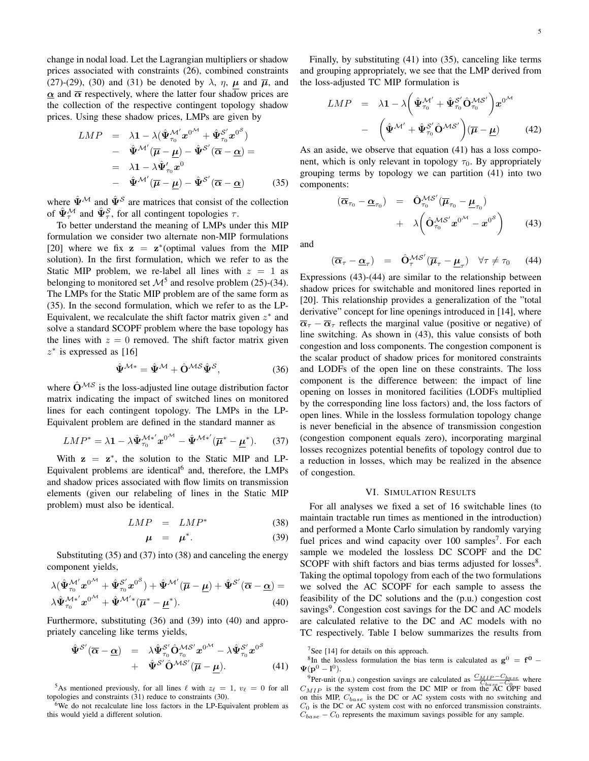change in nodal load. Let the Lagrangian multipliers or shadow prices associated with constraints (26), combined constraints (27)-(29), (30) and (31) be denoted by  $\lambda$ ,  $\eta$ ,  $\mu$  and  $\overline{\mu}$ , and  $\alpha$  and  $\overline{\alpha}$  respectively, where the latter four shadow prices are the collection of the respective contingent topology shadow prices. Using these shadow prices, LMPs are given by

$$
LMP = \lambda \mathbf{1} - \lambda (\hat{\Psi}_{\tau_0}^{\mathcal{M}'} x^{0^{\mathcal{M}}} + \hat{\Psi}_{\tau_0}^{S'} x^{0^{\mathcal{S}}})
$$
  
\n
$$
- \hat{\Psi}^{\mathcal{M}'} (\overline{\mu} - \underline{\mu}) - \hat{\Psi}^{S'} (\overline{\alpha} - \underline{\alpha}) =
$$
  
\n
$$
= \lambda \mathbf{1} - \lambda \hat{\Psi}_{\tau_0}^{\prime} x^0
$$
  
\n
$$
- \hat{\Psi}^{\mathcal{M}'} (\overline{\mu} - \underline{\mu}) - \hat{\Psi}^{S'} (\overline{\alpha} - \underline{\alpha})
$$
(35)

where  $\hat{\Psi}^{\mathcal{M}}$  and  $\hat{\Psi}^{\mathcal{S}}$  are matrices that consist of the collection of  $\hat{\Psi}_{\tau}^{\mathcal{M}}$  and  $\hat{\Psi}_{\tau}^{\mathcal{S}}$ , for all contingent topologies  $\tau$ .

To better understand the meaning of LMPs under this MIP formulation we consider two alternate non-MIP formulations [20] where we fix  $z = z^*$  (optimal values from the MIP solution). In the first formulation, which we refer to as the Static MIP problem, we re-label all lines with  $z = 1$  as belonging to monitored set  $\mathcal{M}^5$  and resolve problem (25)-(34). The LMPs for the Static MIP problem are of the same form as (35). In the second formulation, which we refer to as the LP-Equivalent, we recalculate the shift factor matrix given  $z^*$  and solve a standard SCOPF problem where the base topology has the lines with  $z = 0$  removed. The shift factor matrix given  $z^*$  is expressed as [16]

$$
\hat{\Psi}^{\mathcal{M}*} = \hat{\Psi}^{\mathcal{M}} + \hat{\mathbf{O}}^{\mathcal{M}\mathcal{S}} \hat{\Psi}^{\mathcal{S}},\tag{36}
$$

where  $\hat{O}^{\mathcal{M} \mathcal{S}}$  is the loss-adjusted line outage distribution factor matrix indicating the impact of switched lines on monitored lines for each contingent topology. The LMPs in the LP-Equivalent problem are defined in the standard manner as

$$
LMP^* = \lambda \mathbf{1} - \lambda \hat{\Psi}_{\tau_0}^{\mathcal{M}*'} \mathbf{x}^{0^{\mathcal{M}}} - \hat{\Psi}^{\mathcal{M}*'}(\overline{\mu}^* - \underline{\mu}^*). \tag{37}
$$

With  $z = z^*$ , the solution to the Static MIP and LP-Equivalent problems are identical<sup>6</sup> and, therefore, the LMPs and shadow prices associated with flow limits on transmission elements (given our relabeling of lines in the Static MIP problem) must also be identical.

$$
LMP = LMP^* \tag{38}
$$

$$
\mu = \mu^*.\tag{39}
$$

Substituting (35) and (37) into (38) and canceling the energy component yields,

$$
\lambda(\hat{\Psi}_{\tau_0}^{\mathcal{M}'} \mathbf{x}^{0^{\mathcal{M}}} + \hat{\Psi}_{\tau_0}^{S'} \mathbf{x}^{0^{\mathcal{S}}}) + \hat{\Psi}^{\mathcal{M}'}(\overline{\mu} - \underline{\mu}) + \hat{\Psi}^{S'}(\overline{\alpha} - \underline{\alpha}) =
$$
  

$$
\lambda \hat{\Psi}_{\tau_0}^{\mathcal{M}*'} \mathbf{x}^{0^{\mathcal{M}}} + \hat{\Psi}^{\mathcal{M}'}{}^*(\overline{\mu}^* - \underline{\mu}^*).
$$
 (40)

Furthermore, substituting (36) and (39) into (40) and appropriately canceling like terms yields,

$$
\hat{\Psi}^{S'}(\overline{\alpha}-\underline{\alpha}) = \lambda \hat{\Psi}^{S'}_{\tau_0} \hat{\mathbf{O}}_{\tau_0}^{\mathcal{MS'}} x^{0^{\mathcal{M}}} - \lambda \hat{\Psi}^{S'}_{\tau_0} x^{0^{\mathcal{S}}} \n+ \hat{\Psi}^{S'} \hat{\mathbf{O}}^{\mathcal{MS}'}(\overline{\mu}-\underline{\mu}).
$$
\n(41)

<sup>5</sup>As mentioned previously, for all lines  $\ell$  with  $z_{\ell} = 1, v_{\ell} = 0$  for all topologies and constraints (31) reduce to constraints (30).

<sup>6</sup>We do not recalculate line loss factors in the LP-Equivalent problem as this would yield a different solution.

Finally, by substituting (41) into (35), canceling like terms and grouping appropriately, we see that the LMP derived from the loss-adjusted TC MIP formulation is

$$
LMP = \lambda \mathbf{1} - \lambda \left( \hat{\Psi}_{\tau_0}^{\mathcal{M}'} + \hat{\Psi}_{\tau_0}^{\mathcal{S}'} \hat{\mathbf{O}}_{\tau_0}^{\mathcal{M} \mathcal{S}'} \right) x^{0^{\mathcal{M}}} \\
- \left( \hat{\Psi}^{\mathcal{M}'} + \hat{\Psi}_{\tau_0}^{\mathcal{S}'} \hat{\mathbf{O}}^{\mathcal{M} \mathcal{S}'} \right) (\overline{\boldsymbol{\mu}} - \underline{\boldsymbol{\mu}}) \qquad (42)
$$

As an aside, we observe that equation (41) has a loss component, which is only relevant in topology  $\tau_0$ . By appropriately grouping terms by topology we can partition (41) into two components:

$$
(\overline{\alpha}_{\tau_0} - \underline{\alpha}_{\tau_0}) = \hat{\mathbf{O}}_{\tau_0}^{\mathcal{MS}'} (\overline{\boldsymbol{\mu}}_{\tau_0} - \underline{\boldsymbol{\mu}}_{\tau_0})
$$
  
+  $\lambda \left( \hat{\mathbf{O}}_{\tau_0}^{\mathcal{MS}'} \mathbf{x}^{0^{\mathcal{M}}} - \mathbf{x}^{0^{\mathcal{S}}} \right)$  (43)

and

$$
(\overline{\alpha}_{\tau} - \underline{\alpha}_{\tau}) = \hat{\mathbf{O}}_{\tau}^{\mathcal{MS}'}(\overline{\boldsymbol{\mu}}_{\tau} - \underline{\boldsymbol{\mu}}_{\tau}) \quad \forall \tau \neq \tau_0 \tag{44}
$$

Expressions (43)-(44) are similar to the relationship between shadow prices for switchable and monitored lines reported in [20]. This relationship provides a generalization of the "total derivative" concept for line openings introduced in [14], where  $\overline{\alpha}_{\tau} - \overline{\alpha}_{\tau}$  reflects the marginal value (positive or negative) of line switching. As shown in (43), this value consists of both congestion and loss components. The congestion component is the scalar product of shadow prices for monitored constraints and LODFs of the open line on these constraints. The loss component is the difference between: the impact of line opening on losses in monitored facilities (LODFs multiplied by the corresponding line loss factors) and, the loss factors of open lines. While in the lossless formulation topology change is never beneficial in the absence of transmission congestion (congestion component equals zero), incorporating marginal losses recognizes potential benefits of topology control due to a reduction in losses, which may be realized in the absence of congestion.

### VI. SIMULATION RESULTS

For all analyses we fixed a set of 16 switchable lines (to maintain tractable run times as mentioned in the introduction) and performed a Monte Carlo simulation by randomly varying fuel prices and wind capacity over 100 samples<sup>7</sup>. For each sample we modeled the lossless DC SCOPF and the DC SCOPF with shift factors and bias terms adjusted for losses<sup>8</sup>. Taking the optimal topology from each of the two formulations we solved the AC SCOPF for each sample to assess the feasibility of the DC solutions and the (p.u.) congestion cost savings<sup>9</sup>. Congestion cost savings for the DC and AC models are calculated relative to the DC and AC models with no TC respectively. Table I below summarizes the results from

<sup>7</sup>See [14] for details on this approach.

<sup>8</sup>In the lossless formulation the bias term is calculated as  $g^0 = f^0 \Psi(\mathbf{p}^0 - \mathbf{l}^0).$ 

<sup>&</sup>lt;sup>9</sup>Per-unit (p.u.) congestion savings are calculated as  $\frac{C_{MIP} - C_{base}}{C_1}$  where  $C_{MIP}$  is the system cost from the DC MIP or from the AC OPF based on this MIP,  $C_{base}$  is the DC or AC system costs with no switching and  $C_0$  is the DC or AC system cost with no enforced transmission constraints.  $C_{base} - C_0$  represents the maximum savings possible for any sample.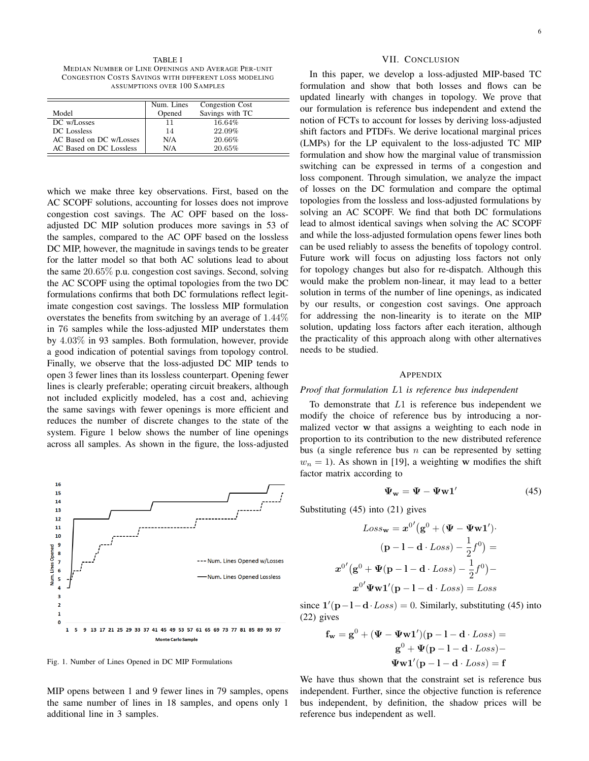TABLE I MEDIAN NUMBER OF LINE OPENINGS AND AVERAGE PER-UNIT CONGESTION COSTS SAVINGS WITH DIFFERENT LOSS MODELING ASSUMPTIONS OVER 100 SAMPLES

|                         | Num. Lines | Congestion Cost |
|-------------------------|------------|-----------------|
| Model                   | Opened     | Savings with TC |
| DC w/Losses             | 11         | 16.64%          |
| DC Lossless             | 14         | 22.09%          |
| AC Based on DC w/Losses | N/A        | 20.66%          |
| AC Based on DC Lossless | N/A        | 20.65%          |

which we make three key observations. First, based on the AC SCOPF solutions, accounting for losses does not improve congestion cost savings. The AC OPF based on the lossadjusted DC MIP solution produces more savings in 53 of the samples, compared to the AC OPF based on the lossless DC MIP, however, the magnitude in savings tends to be greater for the latter model so that both AC solutions lead to about the same 20.65% p.u. congestion cost savings. Second, solving the AC SCOPF using the optimal topologies from the two DC formulations confirms that both DC formulations reflect legitimate congestion cost savings. The lossless MIP formulation overstates the benefits from switching by an average of 1.44% in 76 samples while the loss-adjusted MIP understates them by 4.03% in 93 samples. Both formulation, however, provide a good indication of potential savings from topology control. Finally, we observe that the loss-adjusted DC MIP tends to open 3 fewer lines than its lossless counterpart. Opening fewer lines is clearly preferable; operating circuit breakers, although not included explicitly modeled, has a cost and, achieving the same savings with fewer openings is more efficient and reduces the number of discrete changes to the state of the system. Figure 1 below shows the number of line openings across all samples. As shown in the figure, the loss-adjusted



Fig. 1. Number of Lines Opened in DC MIP Formulations

MIP opens between 1 and 9 fewer lines in 79 samples, opens the same number of lines in 18 samples, and opens only 1 additional line in 3 samples.

#### VII. CONCLUSION

In this paper, we develop a loss-adjusted MIP-based TC formulation and show that both losses and flows can be updated linearly with changes in topology. We prove that our formulation is reference bus independent and extend the notion of FCTs to account for losses by deriving loss-adjusted shift factors and PTDFs. We derive locational marginal prices (LMPs) for the LP equivalent to the loss-adjusted TC MIP formulation and show how the marginal value of transmission switching can be expressed in terms of a congestion and loss component. Through simulation, we analyze the impact of losses on the DC formulation and compare the optimal topologies from the lossless and loss-adjusted formulations by solving an AC SCOPF. We find that both DC formulations lead to almost identical savings when solving the AC SCOPF and while the loss-adjusted formulation opens fewer lines both can be used reliably to assess the benefits of topology control. Future work will focus on adjusting loss factors not only for topology changes but also for re-dispatch. Although this would make the problem non-linear, it may lead to a better solution in terms of the number of line openings, as indicated by our results, or congestion cost savings. One approach for addressing the non-linearity is to iterate on the MIP solution, updating loss factors after each iteration, although the practicality of this approach along with other alternatives needs to be studied.

#### APPENDIX

# *Proof that formulation* L1 *is reference bus independent*

To demonstrate that  $L1$  is reference bus independent we modify the choice of reference bus by introducing a normalized vector w that assigns a weighting to each node in proportion to its contribution to the new distributed reference bus (a single reference bus  $n$  can be represented by setting  $w_n = 1$ ). As shown in [19], a weighting w modifies the shift factor matrix according to

$$
\Psi_{\mathbf{w}} = \Psi - \Psi \mathbf{w} \mathbf{1}' \tag{45}
$$

Substituting (45) into (21) gives

 $\ddot{\circ}$ 

$$
Loss_{\mathbf{w}} = \mathbf{x}^{0'} (\mathbf{g}^{0} + (\mathbf{\Psi} - \mathbf{\Psi} \mathbf{w} \mathbf{1}')).
$$

$$
(\mathbf{p} - \mathbf{1} - \mathbf{d} \cdot Loss) - \frac{1}{2} f^{0}) =
$$

$$
\mathbf{r}^{0'} (\mathbf{g}^{0} + \mathbf{\Psi} (\mathbf{p} - \mathbf{1} - \mathbf{d} \cdot Loss) - \frac{1}{2} f^{0}) -
$$

$$
\mathbf{x}^{0'} \mathbf{\Psi} \mathbf{w} \mathbf{1'} (\mathbf{p} - \mathbf{1} - \mathbf{d} \cdot Loss) = Loss
$$

since  $1'(p-1-d$  ·  $Loss$  = 0. Similarly, substituting (45) into (22) gives

$$
\mathbf{f_w} = \mathbf{g}^0 + (\mathbf{\Psi} - \mathbf{\Psi} \mathbf{w} \mathbf{1}')(p - l - d \cdot Loss) =
$$

$$
\mathbf{g}^0 + \mathbf{\Psi}(p - l - d \cdot Loss) -
$$

$$
\mathbf{\Psi w1}'(p - l - d \cdot Loss) = \mathbf{f}
$$

We have thus shown that the constraint set is reference bus independent. Further, since the objective function is reference bus independent, by definition, the shadow prices will be reference bus independent as well.